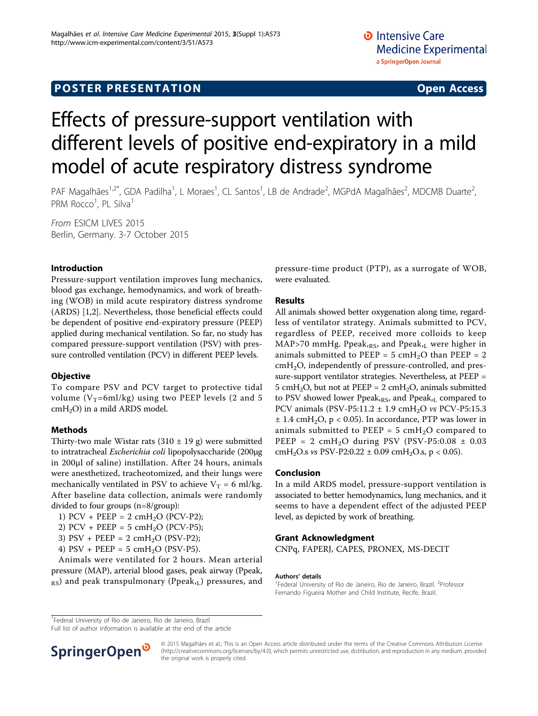# **POSTER PRESENTATION CONSUMING ACCESS**

# Effects of pressure-support ventilation with different levels of positive end-expiratory in a mild model of acute respiratory distress syndrome

PAF Magalhães<sup>1,2\*</sup>, GDA Padilha<sup>1</sup>, L Moraes<sup>1</sup>, CL Santos<sup>1</sup>, LB de Andrade<sup>2</sup>, MGPdA Magalhães<sup>2</sup>, MDCMB Duarte<sup>2</sup> .<br>, PRM Rocco<sup>1</sup>, PL Silva<sup>1</sup>

From ESICM LIVES 2015 Berlin, Germany. 3-7 October 2015

### Introduction

Pressure-support ventilation improves lung mechanics, blood gas exchange, hemodynamics, and work of breathing (WOB) in mild acute respiratory distress syndrome (ARDS) [\[1](#page-1-0),[2\]](#page-1-0). Nevertheless, those beneficial effects could be dependent of positive end-expiratory pressure (PEEP) applied during mechanical ventilation. So far, no study has compared pressure-support ventilation (PSV) with pressure controlled ventilation (PCV) in different PEEP levels.

#### **Objective**

To compare PSV and PCV target to protective tidal volume ( $V_T$ =6ml/kg) using two PEEP levels (2 and 5  $cmH<sub>2</sub>O$ ) in a mild ARDS model.

#### Methods

Thirty-two male Wistar rats  $(310 \pm 19 \text{ g})$  were submitted to intratracheal Escherichia coli lipopolysaccharide (200µg in 200µl of saline) instillation. After 24 hours, animals were anesthetized, tracheotomized, and their lungs were mechanically ventilated in PSV to achieve  $V_T = 6$  ml/kg. After baseline data collection, animals were randomly divided to four groups (n=8/group):

1) PCV + PEEP =  $2 \text{ cm}H_2O$  (PCV-P2);

2) PCV + PEEP = 5 cmH<sub>2</sub>O (PCV-P5);

3) PSV + PEEP =  $2 \text{ cm}H_2O$  (PSV-P2);

4) PSV + PEEP = 5  $cmH<sub>2</sub>O$  (PSV-P5).

Animals were ventilated for 2 hours. Mean arterial pressure (MAP), arterial blood gases, peak airway (Ppeak,  $_{RS}$ ) and peak transpulmonary (Ppeak, $_L$ ) pressures, and pressure-time product (PTP), as a surrogate of WOB, were evaluated.

#### Results

All animals showed better oxygenation along time, regardless of ventilator strategy. Animals submitted to PCV, regardless of PEEP, received more colloids to keep MAP>70 mmHg. Ppeak,Rs, and Ppeak,L were higher in animals submitted to PEEP =  $5 \text{ cm}H_2O$  than PEEP =  $2$ cmH2O, independently of pressure-controlled, and pressure-support ventilator strategies. Nevertheless, at PEEP = 5 cmH<sub>2</sub>O, but not at PEEP = 2 cmH<sub>2</sub>O, animals submitted to PSV showed lower Ppeak, $_{RS}$ , and Ppeak, $_L$  compared to PCV animals (PSV-P5:11.2  $\pm$  1.9 cmH<sub>2</sub>O vs PCV-P5:15.3  $\pm$  1.4 cmH<sub>2</sub>O, p < 0.05). In accordance, PTP was lower in animals submitted to PEEP =  $5 \text{ cm}H_2O$  compared to PEEP =  $2 \text{ cm}H_2O$  during PSV (PSV-P5:0.08  $\pm$  0.03 cmH<sub>2</sub>O.s *vs* PSV-P2:0.22  $\pm$  0.09 cmH<sub>2</sub>O.s, p < 0.05).

#### Conclusion

In a mild ARDS model, pressure-support ventilation is associated to better hemodynamics, lung mechanics, and it seems to have a dependent effect of the adjusted PEEP level, as depicted by work of breathing.

#### Grant Acknowledgment

CNPq, FAPERJ, CAPES, PRONEX, MS-DECIT

#### Authors' details <sup>1</sup>

Federal University of Rio de Janeiro, Rio de Janeiro, Brazil. <sup>2</sup>Professor Fernando Figueira Mother and Child Institute, Recife, Brazil.

<sup>1</sup>Federal University of Rio de Janeiro, Rio de Janeiro, Brazil

Full list of author information is available at the end of the article



© 2015 Magalhães et al.; This is an Open Access article distributed under the terms of the Creative Commons Attribution License [\(http://creativecommons.org/licenses/by/4.0](http://creativecommons.org/licenses/by/4.0)), which permits unrestricted use, distribution, and reproduction in any medium, provided the original work is properly cited.